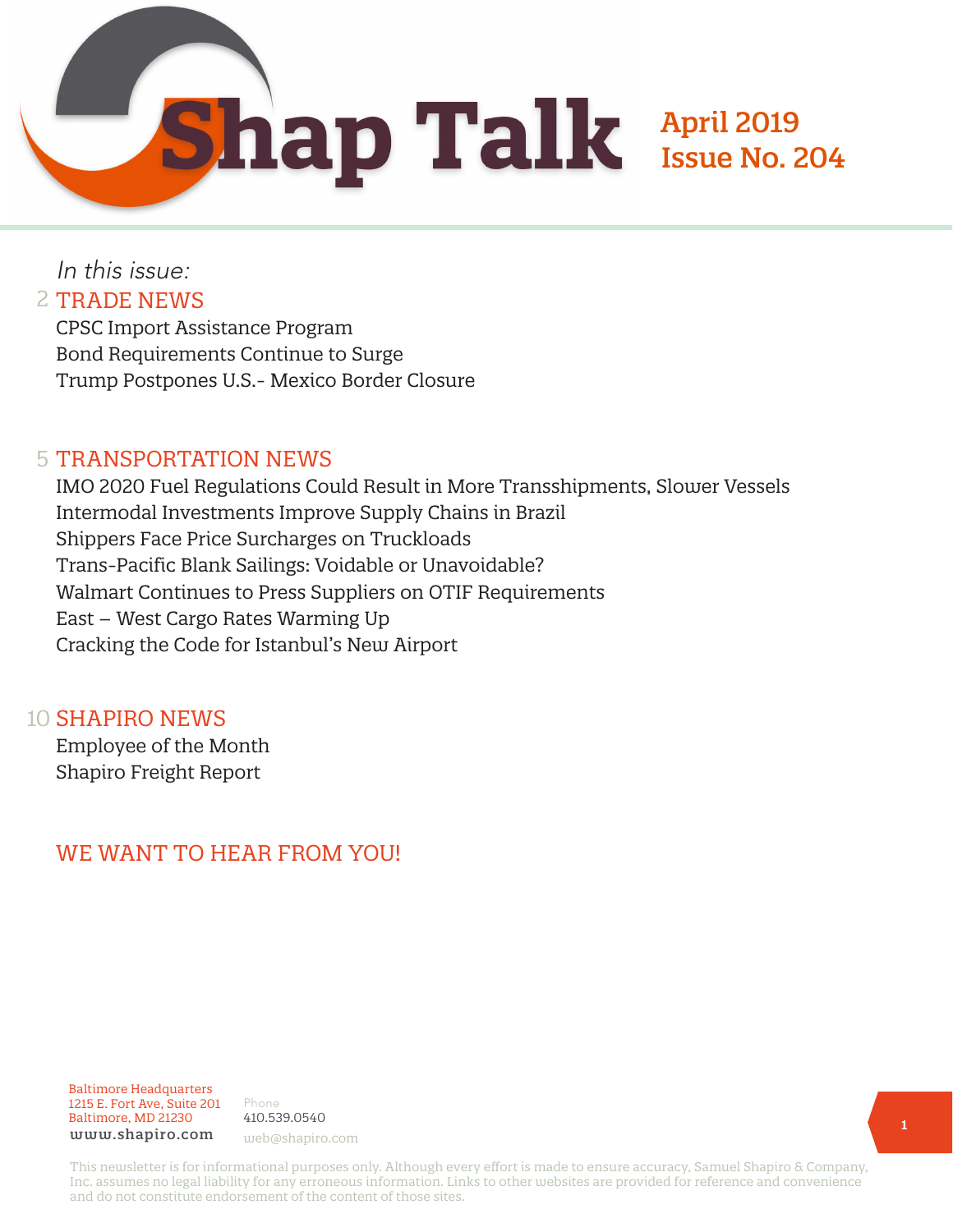April 2019

Issue No. 204

In this issue: 2 TRADE NEWS

> CPSC Import Assistance Program Bond Requirements Continue to Surge Trump Postpones U.S.- Mexico Border Closure

#### 5 TRANSPORTATION NEWS

IMO 2020 Fuel Regulations Could Result in More Transshipments, Slower Vessels Intermodal Investments Improve Supply Chains in Brazil Shippers Face Price Surcharges on Truckloads Trans-Pacific Blank Sailings: Voidable or Unavoidable? Walmart Continues to Press Suppliers on OTIF Requirements East – West Cargo Rates Warming Up Cracking the Code for Istanbul's New Airport

#### 10 **SHAPIRO NEWS**

Employee of the Month Shapiro Freight Report

## WE WANT TO HEAR FROM YOU!

#### Baltimore Headquarters 1215 E. Fort Ave, Suite 201 Baltimore, MD 21230 www.shapiro.com web@shapiro.com

Phone 410.539.0540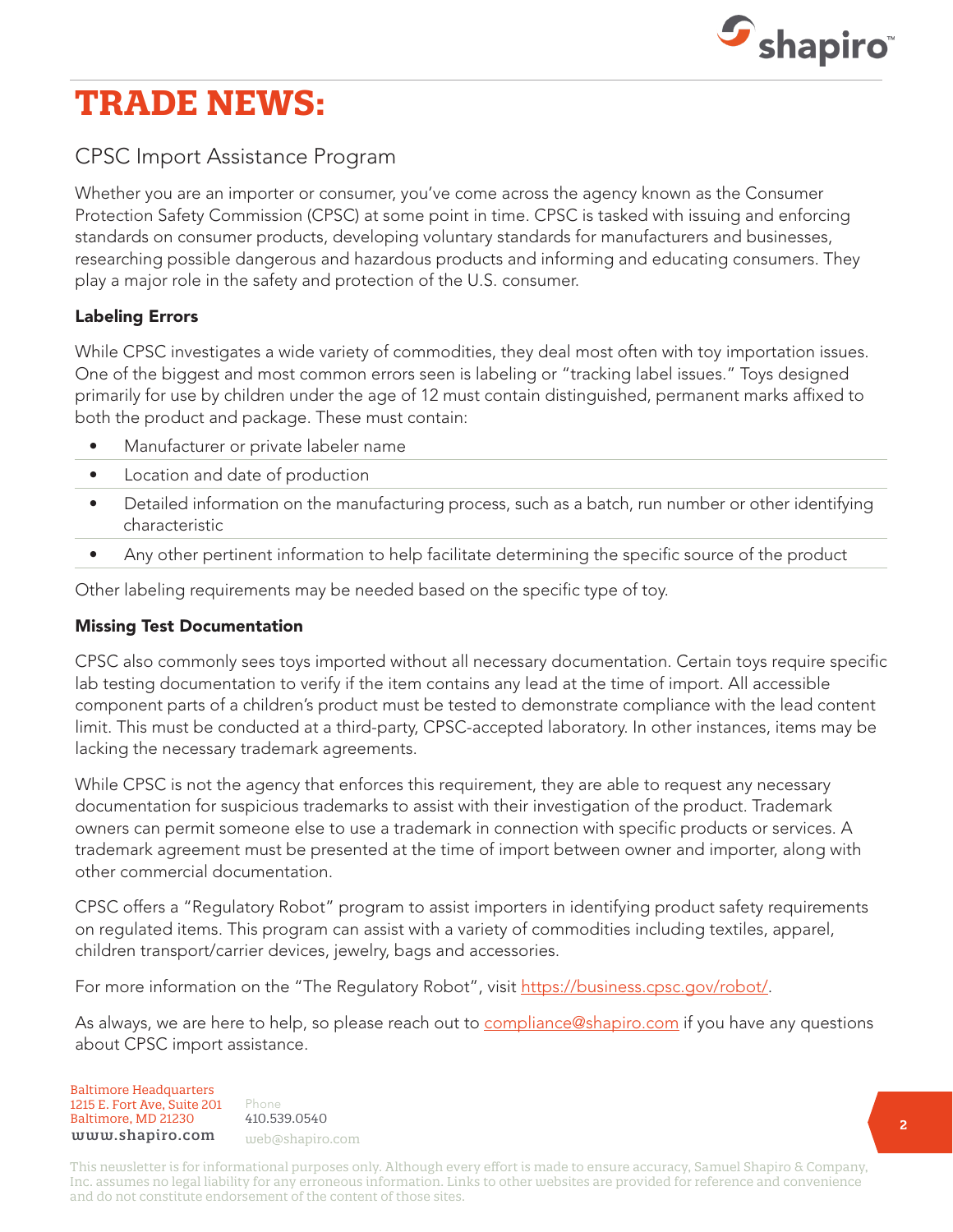

# **TRADE NEWS:**

### CPSC Import Assistance Program

Whether you are an importer or consumer, you've come across the agency known as the Consumer Protection Safety Commission (CPSC) at some point in time. CPSC is tasked with issuing and enforcing standards on consumer products, developing voluntary standards for manufacturers and businesses, researching possible dangerous and hazardous products and informing and educating consumers. They play a major role in the safety and protection of the U.S. consumer.

#### Labeling Errors

While CPSC investigates a wide variety of commodities, they deal most often with toy importation issues. One of the biggest and most common errors seen is labeling or "tracking label issues." Toys designed primarily for use by children under the age of 12 must contain distinguished, permanent marks affixed to both the product and package. These must contain:

- Manufacturer or private labeler name
- Location and date of production
- Detailed information on the manufacturing process, such as a batch, run number or other identifying characteristic
- Any other pertinent information to help facilitate determining the specific source of the product

Other labeling requirements may be needed based on the specific type of toy.

#### Missing Test Documentation

CPSC also commonly sees toys imported without all necessary documentation. Certain toys require specific lab testing documentation to verify if the item contains any lead at the time of import. All accessible component parts of a children's product must be tested to demonstrate compliance with the lead content limit. This must be conducted at a third-party, CPSC-accepted laboratory. In other instances, items may be lacking the necessary trademark agreements.

While CPSC is not the agency that enforces this requirement, they are able to request any necessary documentation for suspicious trademarks to assist with their investigation of the product. Trademark owners can permit someone else to use a trademark in connection with specific products or services. A trademark agreement must be presented at the time of import between owner and importer, along with other commercial documentation.

CPSC offers a "Regulatory Robot" program to assist importers in identifying product safety requirements on regulated items. This program can assist with a variety of commodities including textiles, apparel, children transport/carrier devices, jewelry, bags and accessories.

For more information on the "The Regulatory Robot", visit [https://business.cpsc.gov/robot/.](https://business.cpsc.gov/robot/)

As always, we are here to help, so please reach out to [compliance@shapiro.com](mailto:compliance@shapiro.com) if you have any questions about CPSC import assistance.

Baltimore Headquarters Baltimore Headquarters 1215 E. Fort Ave, Suite 201 www.shapiro.com <sub>web@shapiro.com</sub> Baltimore, MD 21230

Phone Phone rnone<br>410.539.0540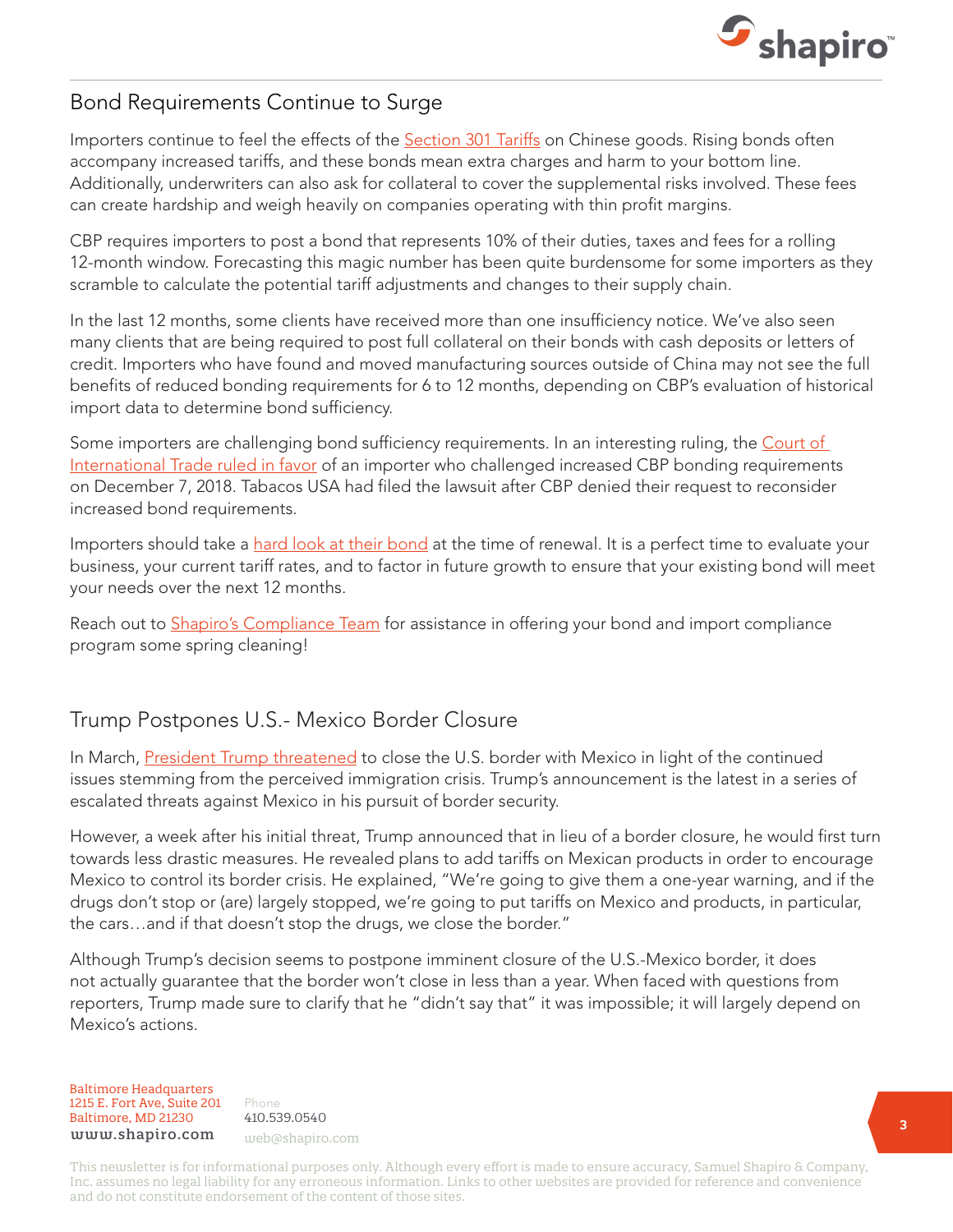

#### Bond Requirements Continue to Surge

Importers continue to feel the effects of the [Section 301 Tariffs](https://www.shapiro.com/tariffs/tariff-news/) on Chinese goods. Rising bonds often accompany increased tariffs, and these bonds mean extra charges and harm to your bottom line. Additionally, underwriters can also ask for collateral to cover the supplemental risks involved. These fees can create hardship and weigh heavily on companies operating with thin profit margins.

CBP requires importers to post a bond that represents 10% of their duties, taxes and fees for a rolling 12-month window. Forecasting this magic number has been quite burdensome for some importers as they scramble to calculate the potential tariff adjustments and changes to their supply chain.

In the last 12 months, some clients have received more than one insufficiency notice. We've also seen many clients that are being required to post full collateral on their bonds with cash deposits or letters of credit. Importers who have found and moved manufacturing sources outside of China may not see the full benefits of reduced bonding requirements for 6 to 12 months, depending on CBP's evaluation of historical import data to determine bond sufficiency.

Some importers are challenging bond sufficiency requirements. In an interesting ruling, the Court of [International Trade ruled in favor](https://www.cit.uscourts.gov/sites/cit/files/18-170.pdf) of an importer who challenged increased CBP bonding requirements on December 7, 2018. Tabacos USA had filed the lawsuit after CBP denied their request to reconsider increased bond requirements.

Importers should take a [hard look at their bond](https://www.shapiro.com/services/customs-bonds/) at the time of renewal. It is a perfect time to evaluate your business, your current tariff rates, and to factor in future growth to ensure that your existing bond will meet your needs over the next 12 months.

Reach out to **[Shapiro's Compliance Team](mailto:compliance@shapiro.com)** for assistance in offering your bond and import compliance program some spring cleaning!

## Trump Postpones U.S.- Mexico Border Closure

In March, [President Trump threatened](https://www.shapiro.com/alerts/trump-threatens-us-mexico-border-closure/) to close the U.S. border with Mexico in light of the continued issues stemming from the perceived immigration crisis. Trump's announcement is the latest in a series of escalated threats against Mexico in his pursuit of border security.

However, a week after his initial threat, Trump announced that in lieu of a border closure, he would first turn towards less drastic measures. He revealed plans to add tariffs on Mexican products in order to encourage Mexico to control its border crisis. He explained, "We're going to give them a one-year warning, and if the drugs don't stop or (are) largely stopped, we're going to put tariffs on Mexico and products, in particular, the cars…and if that doesn't stop the drugs, we close the border."

Although Trump's decision seems to postpone imminent closure of the U.S.-Mexico border, it does not actually guarantee that the border won't close in less than a year. When faced with questions from reporters, Trump made sure to clarify that he "didn't say that" it was impossible; it will largely depend on Mexico's actions.

Baltimore Headquarters Baltimore Headquarters<br>1215 E. F 1215 E. Fort Ave, Suite 201 www.shapiro.com <sub>web@shapiro.com</sub> Baltimore, MD 21230

Phone Phone rnone<br>410.539.0540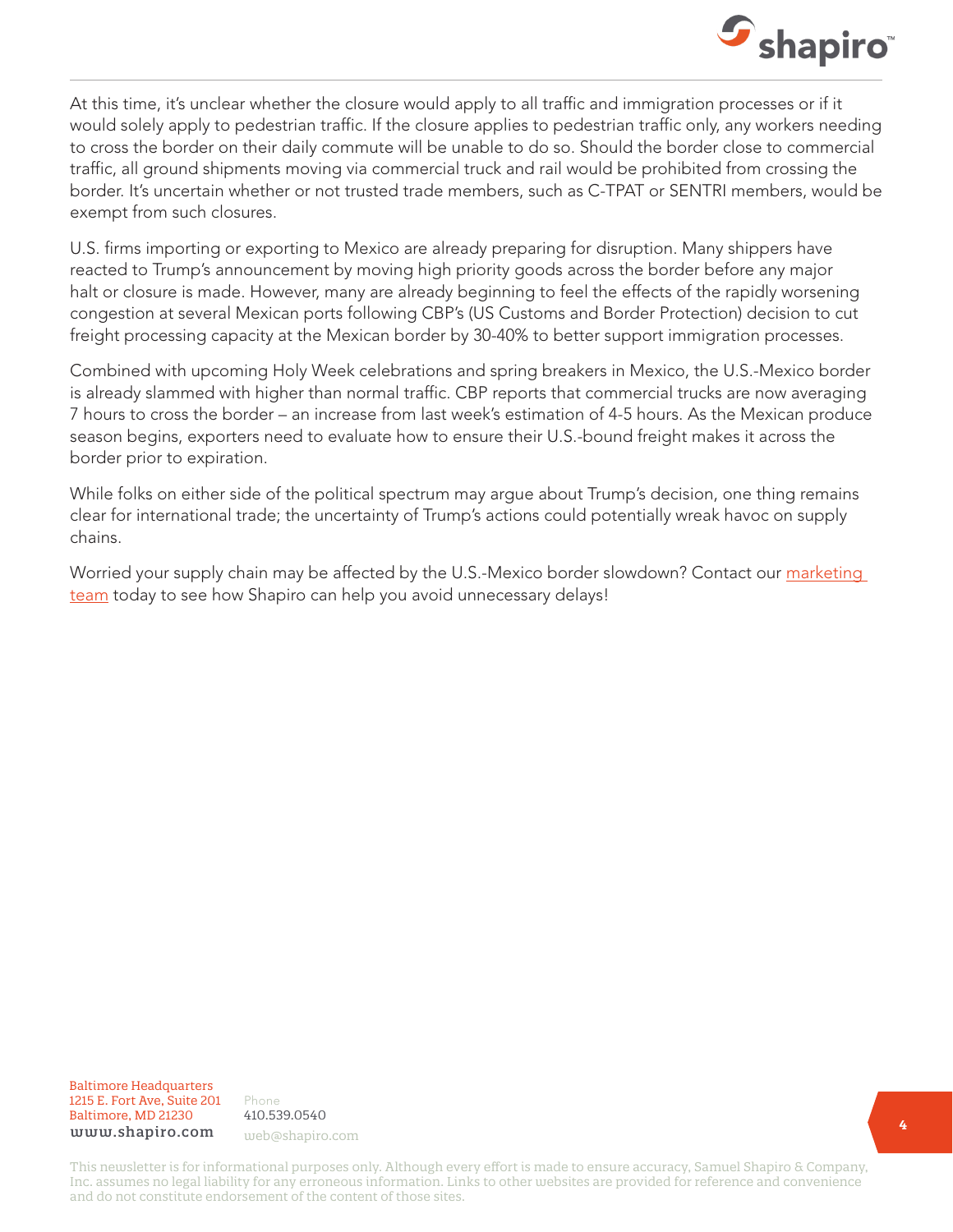

At this time, it's unclear whether the closure would apply to all traffic and immigration processes or if it would solely apply to pedestrian traffic. If the closure applies to pedestrian traffic only, any workers needing to cross the border on their daily commute will be unable to do so. Should the border close to commercial traffic, all ground shipments moving via commercial truck and rail would be prohibited from crossing the border. It's uncertain whether or not trusted trade members, such as C-TPAT or SENTRI members, would be exempt from such closures.

U.S. firms importing or exporting to Mexico are already preparing for disruption. Many shippers have reacted to Trump's announcement by moving high priority goods across the border before any major halt or closure is made. However, many are already beginning to feel the effects of the rapidly worsening congestion at several Mexican ports following CBP's (US Customs and Border Protection) decision to cut freight processing capacity at the Mexican border by 30-40% to better support immigration processes.

Combined with upcoming Holy Week celebrations and spring breakers in Mexico, the U.S.-Mexico border is already slammed with higher than normal traffic. CBP reports that commercial trucks are now averaging 7 hours to cross the border – an increase from last week's estimation of 4-5 hours. As the Mexican produce season begins, exporters need to evaluate how to ensure their U.S.-bound freight makes it across the border prior to expiration.

While folks on either side of the political spectrum may argue about Trump's decision, one thing remains clear for international trade; the uncertainty of Trump's actions could potentially wreak havoc on supply chains.

Worried your supply chain may be affected by the U.S.-Mexico border slowdown? Contact our marketing [team](mailto:web@shapiro.com) today to see how Shapiro can help you avoid unnecessary delays!

Baltimore Headquarters Baltimore Headquarters 1215 E. Fort Ave, Suite 201 1215 E. Fort Ave, Suite 201 Baltimore, MD 21201 Baltimore, MD 21230 www.shapiro.com web@shapiro.com

Phone Phone 410.539.0540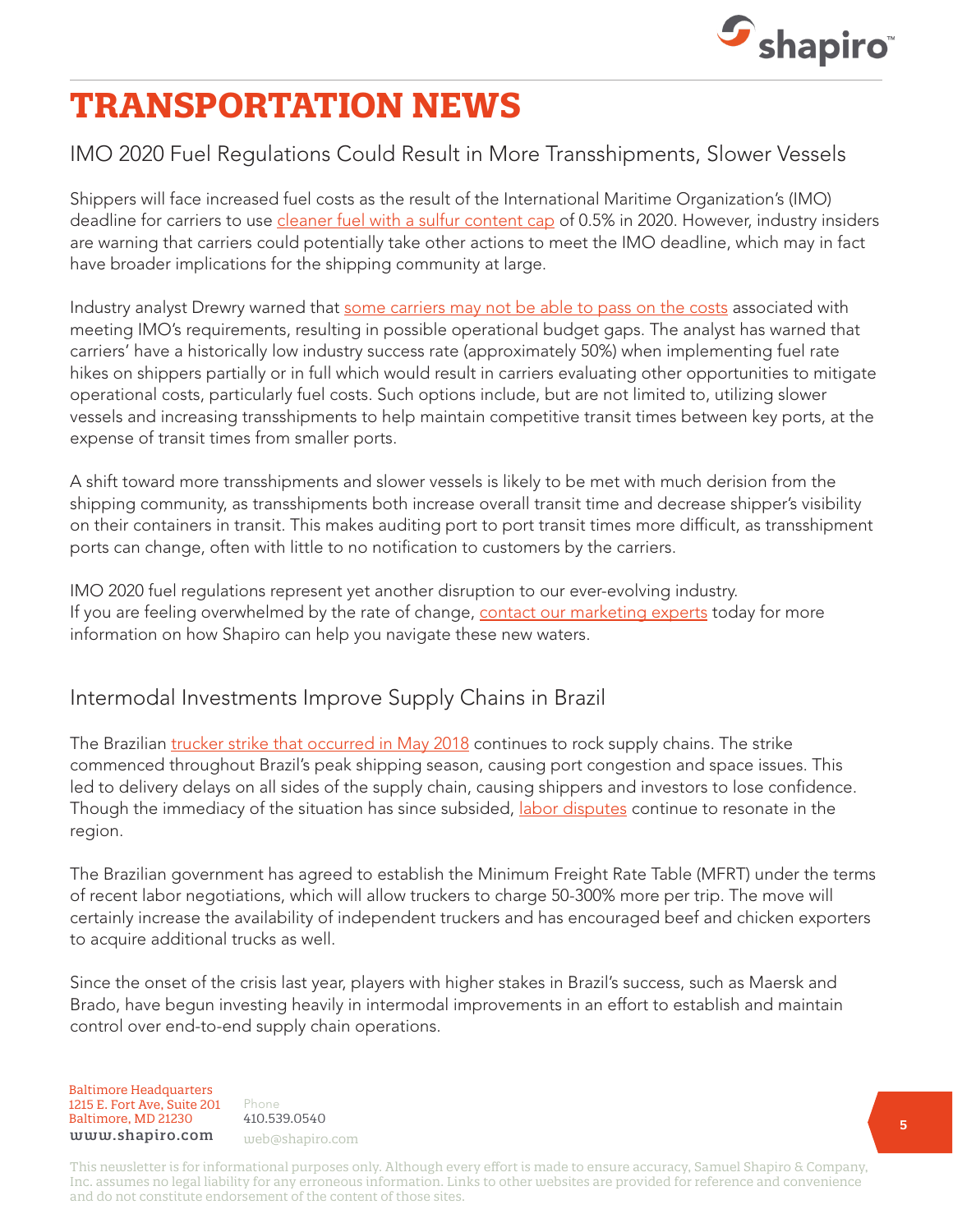

## **TRANSPORTATION NEWS**

### IMO 2020 Fuel Regulations Could Result in More Transshipments, Slower Vessels

Shippers will face increased fuel costs as the result of the International Maritime Organization's (IMO) deadline for carriers to use *cleaner fuel with a sulfur content cap* of 0.5% in 2020. However, industry insiders are warning that carriers could potentially take other actions to meet the IMO deadline, which may in fact have broader implications for the shipping community at large.

Industry analyst Drewry warned that [some carriers may not be able to pass on the costs](https://www.shapiro.com/newsletters/march-2019-issue-203/#st-5) associated with meeting IMO's requirements, resulting in possible operational budget gaps. The analyst has warned that carriers' have a historically low industry success rate (approximately 50%) when implementing fuel rate hikes on shippers partially or in full which would result in carriers evaluating other opportunities to mitigate operational costs, particularly fuel costs. Such options include, but are not limited to, utilizing slower vessels and increasing transshipments to help maintain competitive transit times between key ports, at the expense of transit times from smaller ports.

A shift toward more transshipments and slower vessels is likely to be met with much derision from the shipping community, as transshipments both increase overall transit time and decrease shipper's visibility on their containers in transit. This makes auditing port to port transit times more difficult, as transshipment ports can change, often with little to no notification to customers by the carriers.

IMO 2020 fuel regulations represent yet another disruption to our ever-evolving industry. If you are feeling overwhelmed by the rate of change, [contact our marketing experts](mailto:web@shapiro.com) today for more information on how Shapiro can help you navigate these new waters.

#### Intermodal Investments Improve Supply Chains in Brazil

The Brazilian [trucker strike that occurred in May 2018](https://www.shapiro.com/newsletters/october-2018-issue-198/#st-4) continues to rock supply chains. The strike commenced throughout Brazil's peak shipping season, causing port congestion and space issues. This led to delivery delays on all sides of the supply chain, causing shippers and investors to lose confidence. Though the immediacy of the situation has since subsided, [labor disputes](https://www.shapiro.com/alerts/no-deal-between-brazilian-government-and-truckers-day-5-of-strike-continues/) continue to resonate in the region.

The Brazilian government has agreed to establish the Minimum Freight Rate Table (MFRT) under the terms of recent labor negotiations, which will allow truckers to charge 50-300% more per trip. The move will certainly increase the availability of independent truckers and has encouraged beef and chicken exporters to acquire additional trucks as well.

Since the onset of the crisis last year, players with higher stakes in Brazil's success, such as Maersk and Brado, have begun investing heavily in intermodal improvements in an effort to establish and maintain control over end-to-end supply chain operations.

Baltimore Headquarters Baltimore Headquarters 1215 E. Fort Ave, Suite 201 www.shapiro.com <sub>web@shapiro.com</sub> Baltimore, MD 21230

Phone Phone rnone<br>410.539.0540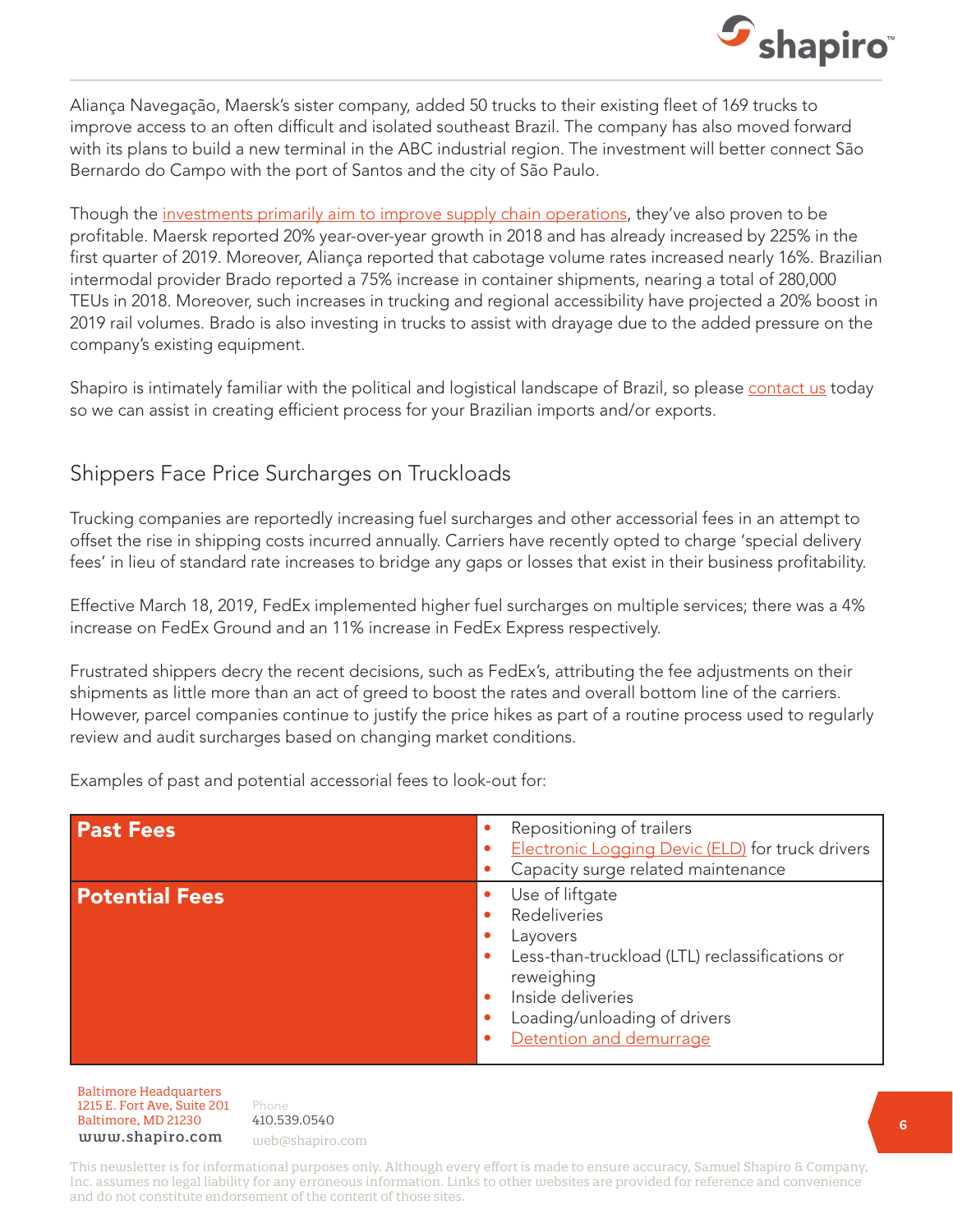

Aliança Navegação, Maersk's sister company, added 50 trucks to their existing fleet of 169 trucks to improve access to an often difficult and isolated southeast Brazil. The company has also moved forward with its plans to build a new terminal in the ABC industrial region. The investment will better connect São Bernardo do Campo with the port of Santos and the city of São Paulo.

Though the [investments primarily aim to improve supply chain operations](https://www.shapiro.com/newsletters/november-2018-issue-199/#st-7), they've also proven to be profitable. Maersk reported 20% year-over-year growth in 2018 and has already increased by 225% in the first quarter of 2019. Moreover, Aliança reported that cabotage volume rates increased nearly 16%. Brazilian intermodal provider Brado reported a 75% increase in container shipments, nearing a total of 280,000 TEUs in 2018. Moreover, such increases in trucking and regional accessibility have projected a 20% boost in 2019 rail volumes. Brado is also investing in trucks to assist with drayage due to the added pressure on the company's existing equipment.

Shapiro is intimately familiar with the political and logistical landscape of Brazil, so please [contact us](mailto:web@shapiro.com) today so we can assist in creating efficient process for your Brazilian imports and/or exports.

#### Shippers Face Price Surcharges on Truckloads

Trucking companies are reportedly increasing fuel surcharges and other accessorial fees in an attempt to offset the rise in shipping costs incurred annually. Carriers have recently opted to charge 'special delivery fees' in lieu of standard rate increases to bridge any gaps or losses that exist in their business profitability.

Effective March 18, 2019, FedEx implemented higher fuel surcharges on multiple services; there was a 4% increase on FedEx Ground and an 11% increase in FedEx Express respectively.

Frustrated shippers decry the recent decisions, such as FedEx's, attributing the fee adjustments on their shipments as little more than an act of greed to boost the rates and overall bottom line of the carriers. However, parcel companies continue to justify the price hikes as part of a routine process used to regularly review and audit surcharges based on changing market conditions.

Examples of past and potential accessorial fees to look-out for:

| <b>Past Fees</b>      | Repositioning of trailers<br>Electronic Logging Devic (ELD) for truck drivers<br>Capacity surge related maintenance                                                                                                                |
|-----------------------|------------------------------------------------------------------------------------------------------------------------------------------------------------------------------------------------------------------------------------|
| <b>Potential Fees</b> | Use of liftgate<br>Redeliveries<br>Layovers<br>Less-than-truckload (LTL) reclassifications or<br>$\bullet$<br>reweighing<br>Inside deliveries<br>$\bullet$<br>Loading/unloading of drivers<br>$\bullet$<br>Detention and demurrage |

Baltimore Headquarters Baltimore Headquarters 1215 E. Fort Ave, Suite 201 www.shapiro.com web@shapiro.com Baltimore, MD 21230

Phone 410.539.0540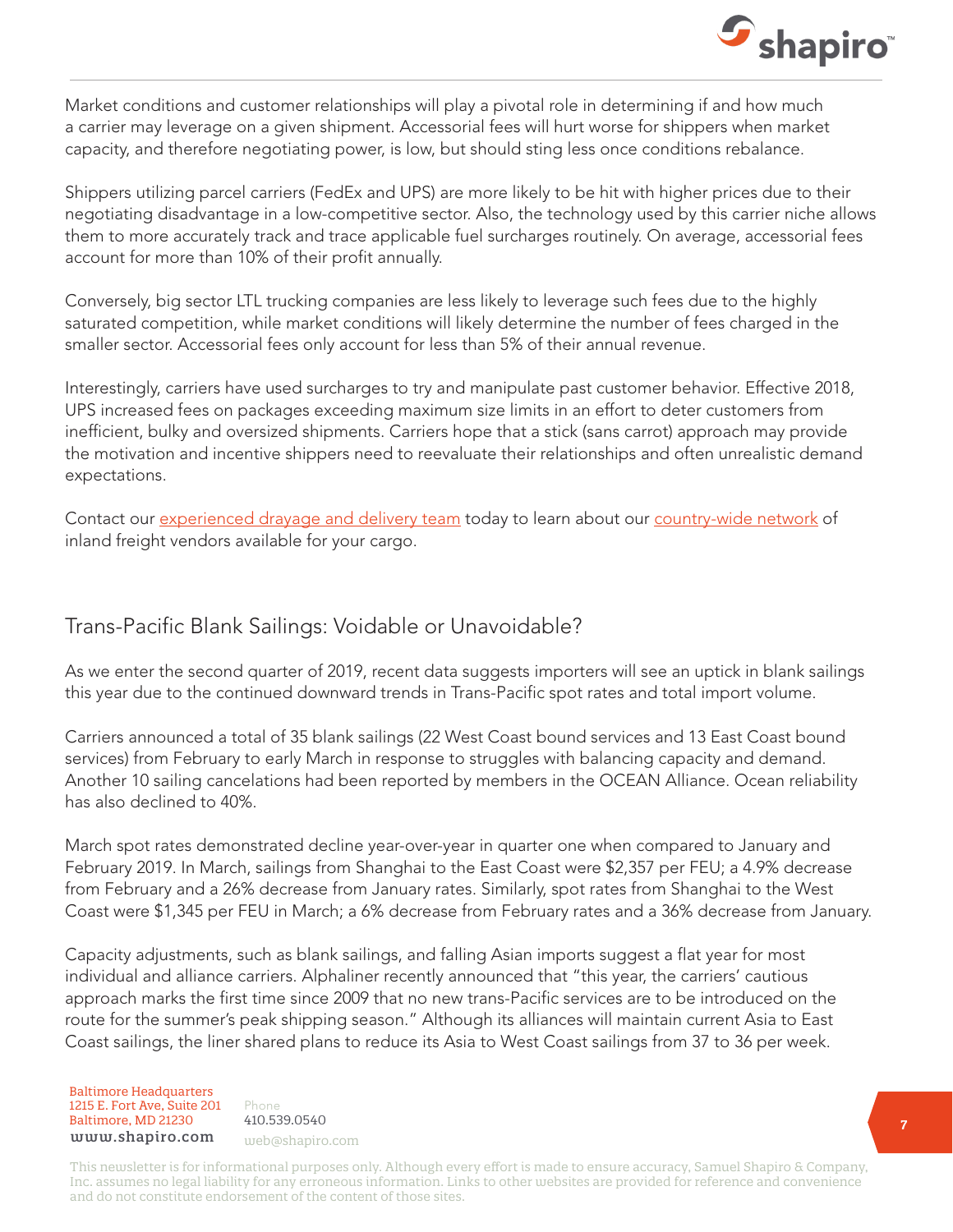

Market conditions and customer relationships will play a pivotal role in determining if and how much a carrier may leverage on a given shipment. Accessorial fees will hurt worse for shippers when market capacity, and therefore negotiating power, is low, but should sting less once conditions rebalance.

Shippers utilizing parcel carriers (FedEx and UPS) are more likely to be hit with higher prices due to their negotiating disadvantage in a low-competitive sector. Also, the technology used by this carrier niche allows them to more accurately track and trace applicable fuel surcharges routinely. On average, accessorial fees account for more than 10% of their profit annually.

Conversely, big sector LTL trucking companies are less likely to leverage such fees due to the highly saturated competition, while market conditions will likely determine the number of fees charged in the smaller sector. Accessorial fees only account for less than 5% of their annual revenue.

Interestingly, carriers have used surcharges to try and manipulate past customer behavior. Effective 2018, UPS increased fees on packages exceeding maximum size limits in an effort to deter customers from inefficient, bulky and oversized shipments. Carriers hope that a stick (sans carrot) approach may provide the motivation and incentive shippers need to reevaluate their relationships and often unrealistic demand expectations.

Contact our [experienced drayage and delivery team](mailto:web@shapiro.com) today to learn about our [country-wide network](https://www.shapiro.com/services/domestic-freight/) of inland freight vendors available for your cargo.

#### Trans-Pacific Blank Sailings: Voidable or Unavoidable?

As we enter the second quarter of 2019, recent data suggests importers will see an uptick in blank sailings this year due to the continued downward trends in Trans-Pacific spot rates and total import volume.

Carriers announced a total of 35 blank sailings (22 West Coast bound services and 13 East Coast bound services) from February to early March in response to struggles with balancing capacity and demand. Another 10 sailing cancelations had been reported by members in the OCEAN Alliance. Ocean reliability has also declined to 40%.

March spot rates demonstrated decline year-over-year in quarter one when compared to January and February 2019. In March, sailings from Shanghai to the East Coast were \$2,357 per FEU; a 4.9% decrease from February and a 26% decrease from January rates. Similarly, spot rates from Shanghai to the West Coast were \$1,345 per FEU in March; a 6% decrease from February rates and a 36% decrease from January.

Capacity adjustments, such as blank sailings, and falling Asian imports suggest a flat year for most individual and alliance carriers. Alphaliner recently announced that "this year, the carriers' cautious approach marks the first time since 2009 that no new trans-Pacific services are to be introduced on the route for the summer's peak shipping season." Although its alliances will maintain current Asia to East Coast sailings, the liner shared plans to reduce its Asia to West Coast sailings from 37 to 36 per week.

Baltimore Headquarters Baltimore Headquarters 1215 E. Fort Ave, Suite 201 www.shapiro.com web@shapiro.com Baltimore, MD 21230

Phone 410.539.0540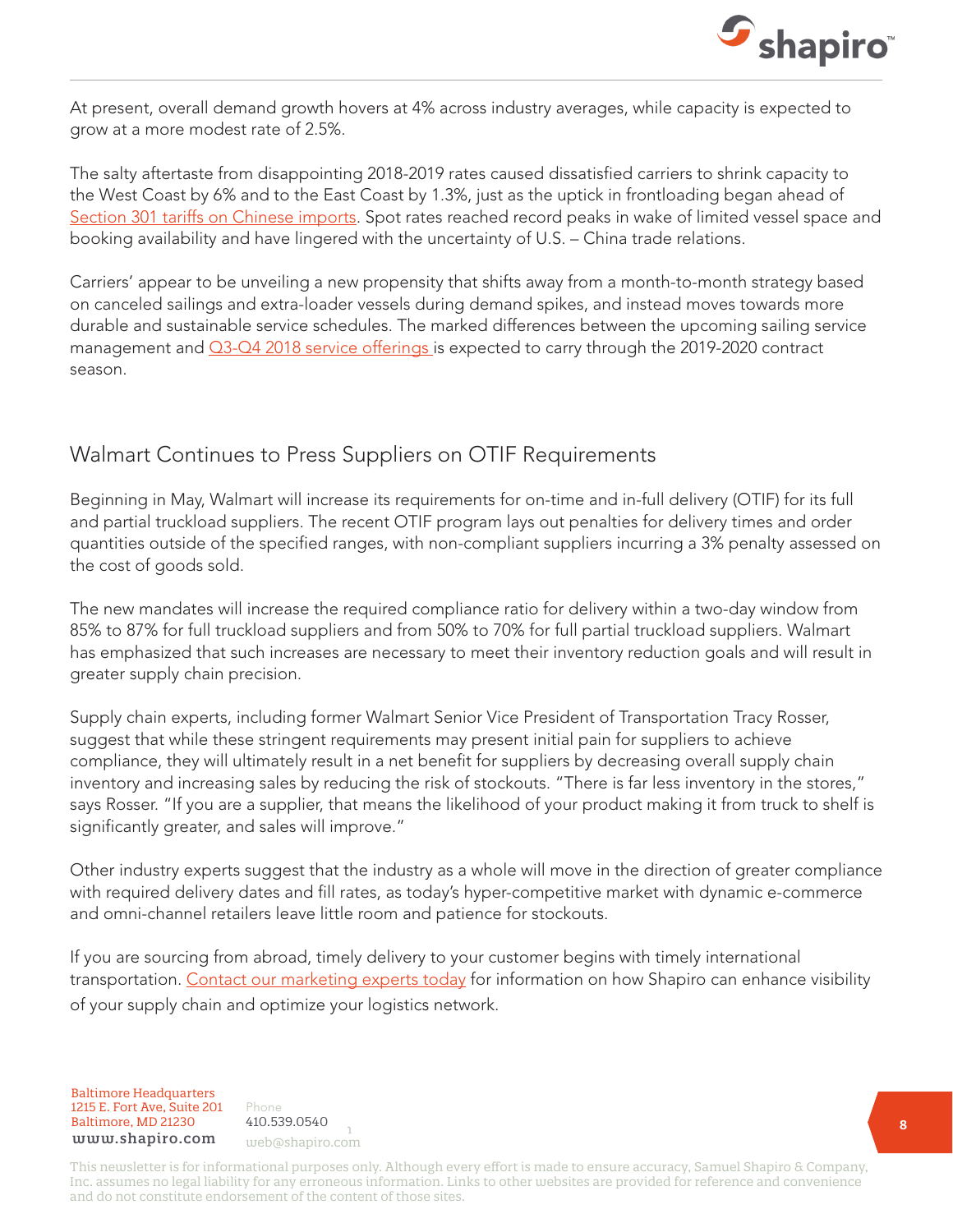

At present, overall demand growth hovers at 4% across industry averages, while capacity is expected to grow at a more modest rate of 2.5%.

The salty aftertaste from disappointing 2018-2019 rates caused dissatisfied carriers to shrink capacity to the West Coast by 6% and to the East Coast by 1.3%, just as the uptick in frontloading began ahead of [Section 301 tariffs on Chinese imports](https://www.shapiro.com/tariffs/tariff-news/). Spot rates reached record peaks in wake of limited vessel space and booking availability and have lingered with the uncertainty of U.S. – China trade relations.

Carriers' appear to be unveiling a new propensity that shifts away from a month-to-month strategy based on canceled sailings and extra-loader vessels during demand spikes, and instead moves towards more durable and sustainable service schedules. The marked differences between the upcoming sailing service management and  $Q3$ -Q4 2018 service offerings is expected to carry through the 2019-2020 contract season.

#### Walmart Continues to Press Suppliers on OTIF Requirements

Beginning in May, Walmart will increase its requirements for on-time and in-full delivery (OTIF) for its full and partial truckload suppliers. The recent OTIF program lays out penalties for delivery times and order quantities outside of the specified ranges, with non-compliant suppliers incurring a 3% penalty assessed on the cost of goods sold.

The new mandates will increase the required compliance ratio for delivery within a two-day window from 85% to 87% for full truckload suppliers and from 50% to 70% for full partial truckload suppliers. Walmart has emphasized that such increases are necessary to meet their inventory reduction goals and will result in greater supply chain precision.

Supply chain experts, including former Walmart Senior Vice President of Transportation Tracy Rosser, suggest that while these stringent requirements may present initial pain for suppliers to achieve compliance, they will ultimately result in a net benefit for suppliers by decreasing overall supply chain inventory and increasing sales by reducing the risk of stockouts. "There is far less inventory in the stores," says Rosser. "If you are a supplier, that means the likelihood of your product making it from truck to shelf is significantly greater, and sales will improve."

Other industry experts suggest that the industry as a whole will move in the direction of greater compliance with required delivery dates and fill rates, as today's hyper-competitive market with dynamic e-commerce and omni-channel retailers leave little room and patience for stockouts.

If you are sourcing from abroad, timely delivery to your customer begins with timely international transportation. [Contact our marketing experts today](mailto:web@shapiro.com) for information on how Shapiro can enhance visibility of your supply chain and optimize your logistics network.

Baltimore Headquarters 1215 E. Fort Ave, Suite 201 www.shapiro.com web@shapiro.com Baltimore, MD 21230

Phone **1915** 410.539.0540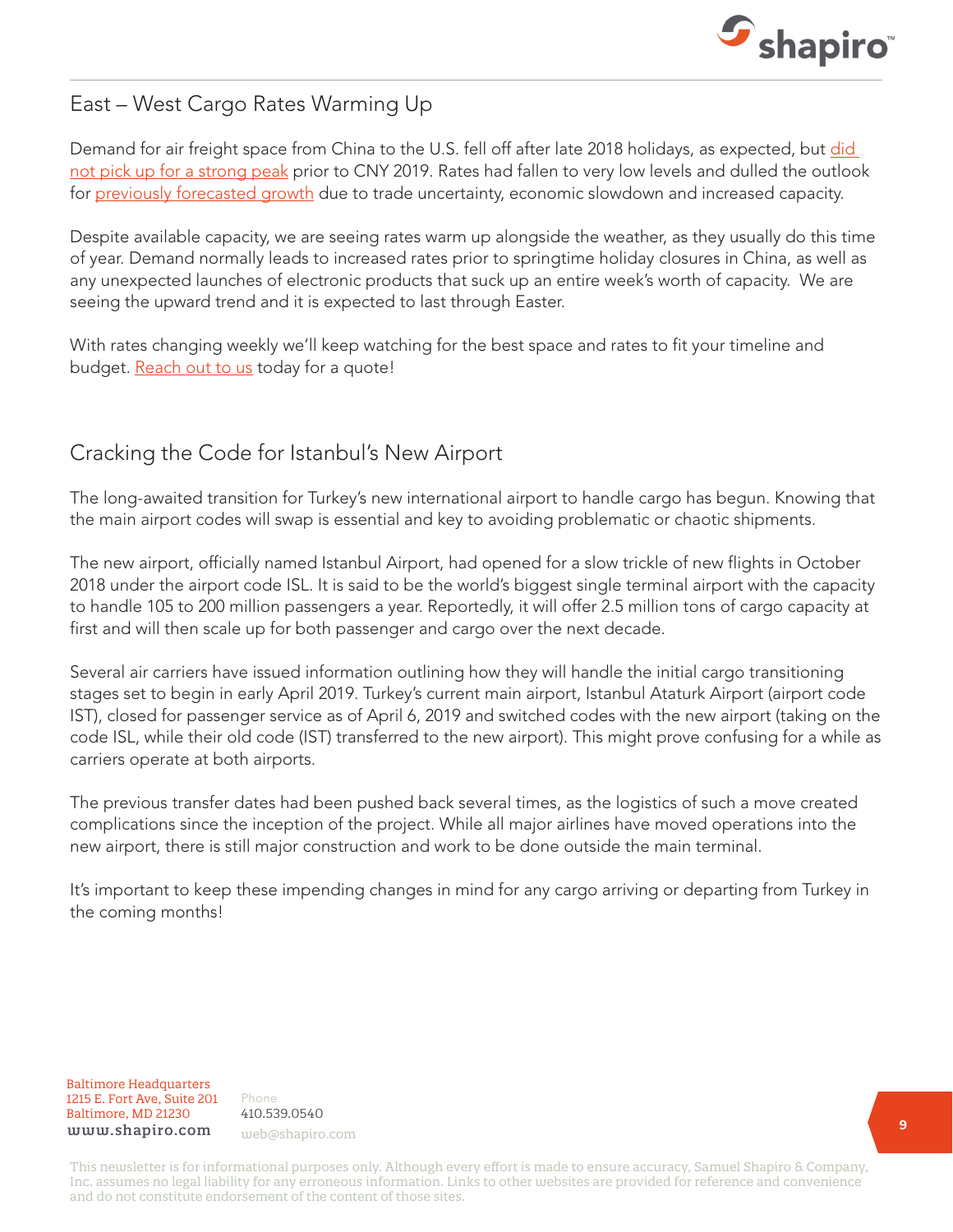

### East – West Cargo Rates Warming Up

Demand for air freight space from China to the U.S. fell off after late 2018 holidays, as expected, but did [not pick up for a strong peak](https://www.shapiro.com/newsletters/february-2019-issue-202/#st-8) prior to CNY 2019. Rates had fallen to very low levels and dulled the outlook for [previously forecasted growth](https://www.shapiro.com/newsletters/september-2018-issue-197/#st-6) due to trade uncertainty, economic slowdown and increased capacity.

Despite available capacity, we are seeing rates warm up alongside the weather, as they usually do this time of year. Demand normally leads to increased rates prior to springtime holiday closures in China, as well as any unexpected launches of electronic products that suck up an entire week's worth of capacity. We are seeing the upward trend and it is expected to last through Easter.

With rates changing weekly we'll keep watching for the best space and rates to fit your timeline and budget. [Reach out to us](mailto:web@shapiro.com) today for a quote!

### Cracking the Code for Istanbul's New Airport

The long-awaited transition for Turkey's new international airport to handle cargo has begun. Knowing that the main airport codes will swap is essential and key to avoiding problematic or chaotic shipments.

The new airport, officially named Istanbul Airport, had opened for a slow trickle of new flights in October 2018 under the airport code ISL. It is said to be the world's biggest single terminal airport with the capacity to handle 105 to 200 million passengers a year. Reportedly, it will offer 2.5 million tons of cargo capacity at first and will then scale up for both passenger and cargo over the next decade.

Several air carriers have issued information outlining how they will handle the initial cargo transitioning stages set to begin in early April 2019. Turkey's current main airport, Istanbul Ataturk Airport (airport code IST), closed for passenger service as of April 6, 2019 and switched codes with the new airport (taking on the code ISL, while their old code (IST) transferred to the new airport). This might prove confusing for a while as carriers operate at both airports.

The previous transfer dates had been pushed back several times, as the logistics of such a move created complications since the inception of the project. While all major airlines have moved operations into the new airport, there is still major construction and work to be done outside the main terminal.

It's important to keep these impending changes in mind for any cargo arriving or departing from Turkey in the coming months!

Baltimore Headquarters Baltimore Headquarters 1215 E. Fort Ave, Suite 201 1215 E. Fort Ave, Suite 201 Baltimore, MD 21230  ${\tt www.shapiro.com}$  web@shapiro.com

Phone Phone 410.539.0540